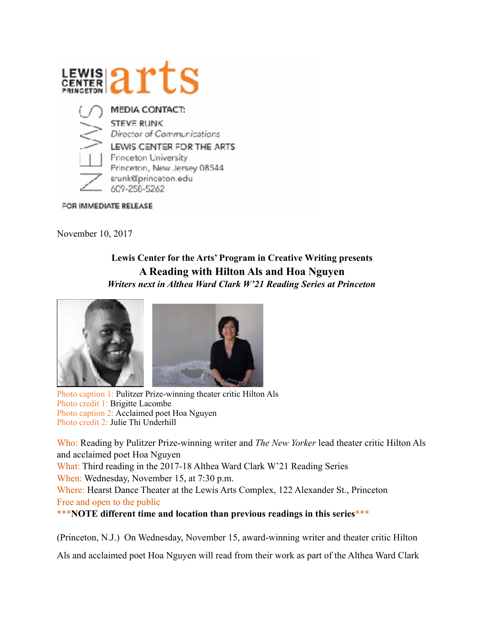

FOR IMMEDIATE RELEASE

November 10, 2017

## **Lewis Center for the Arts' Program in Creative Writing presents A Reading with Hilton Als and Hoa Nguyen**  *Writers next in Althea Ward Clark W'21 Reading Series at Princeton*



Photo caption 1: Pulitzer Prize-winning theater critic Hilton Als Photo credit 1: Brigitte Lacombe Photo caption 2: Acclaimed poet Hoa Nguyen Photo credit 2: Julie Thi Underhill

Who: Reading by Pulitzer Prize-winning writer and *The New Yorker* lead theater critic Hilton Als and acclaimed poet Hoa Nguyen

What: Third reading in the 2017-18 Althea Ward Clark W'21 Reading Series When: Wednesday, November 15, at 7:30 p.m.

Where: Hearst Dance Theater at the Lewis Arts Complex, 122 Alexander St., Princeton Free and open to the public

\*\*\***NOTE different time and location than previous readings in this series**\*\*\*

(Princeton, N.J.) On Wednesday, November 15, award-winning writer and theater critic Hilton

Als and acclaimed poet Hoa Nguyen will read from their work as part of the Althea Ward Clark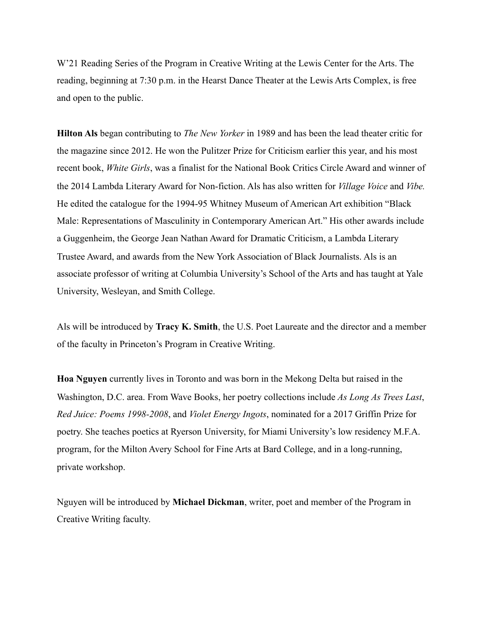W'21 Reading Series of the Program in Creative Writing at the Lewis Center for the Arts. The reading, beginning at 7:30 p.m. in the Hearst Dance Theater at the Lewis Arts Complex, is free and open to the public.

**Hilton Als** began contributing to *The New Yorker* in 1989 and has been the lead theater critic for the magazine since 2012. He won the Pulitzer Prize for Criticism earlier this year, and his most recent book, *White Girls*, was a finalist for the National Book Critics Circle Award and winner of the 2014 Lambda Literary Award for Non-fiction. Als has also written for *Village Voice* and *Vibe.* He edited the catalogue for the 1994-95 Whitney Museum of American Art exhibition "Black Male: Representations of Masculinity in Contemporary American Art." His other awards include a Guggenheim, the George Jean Nathan Award for Dramatic Criticism, a Lambda Literary Trustee Award, and awards from the New York Association of Black Journalists. Als is an associate professor of writing at Columbia University's School of the Arts and has taught at Yale University, Wesleyan, and Smith College.

Als will be introduced by **Tracy K. Smith**, the U.S. Poet Laureate and the director and a member of the faculty in Princeton's Program in Creative Writing.

**Hoa Nguyen** currently lives in Toronto and was born in the Mekong Delta but raised in the Washington, D.C. area. From Wave Books, her poetry collections include *As Long As Trees Last*, *Red Juice: Poems 1998-2008*, and *Violet Energy Ingots*, nominated for a 2017 Griffin Prize for poetry. She teaches poetics at Ryerson University, for Miami University's low residency M.F.A. program, for the Milton Avery School for Fine Arts at Bard College, and in a long-running, private workshop.

Nguyen will be introduced by **Michael Dickman**, writer, poet and member of the Program in Creative Writing faculty.